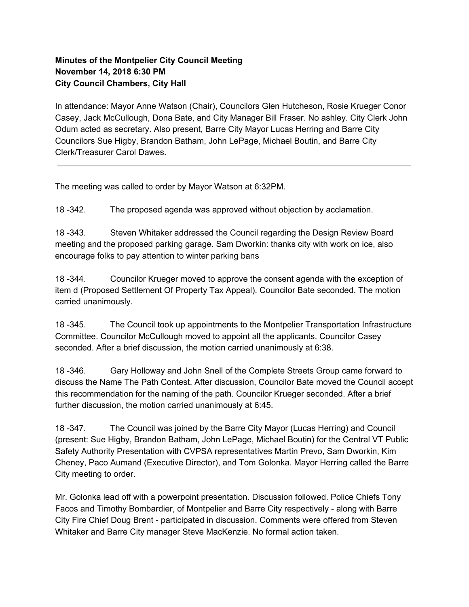## **Minutes of the Montpelier City Council Meeting November 14, 2018 6:30 PM City Council Chambers, City Hall**

In attendance: Mayor Anne Watson (Chair), Councilors Glen Hutcheson, Rosie Krueger Conor Casey, Jack McCullough, Dona Bate, and City Manager Bill Fraser. No ashley. City Clerk John Odum acted as secretary. Also present, Barre City Mayor Lucas Herring and Barre City Councilors Sue Higby, Brandon Batham, John LePage, Michael Boutin, and Barre City Clerk/Treasurer Carol Dawes.

The meeting was called to order by Mayor Watson at 6:32PM.

18 -342. The proposed agenda was approved without objection by acclamation.

18 -343. Steven Whitaker addressed the Council regarding the Design Review Board meeting and the proposed parking garage. Sam Dworkin: thanks city with work on ice, also encourage folks to pay attention to winter parking bans

18 -344. Councilor Krueger moved to approve the consent agenda with the exception of item d (Proposed Settlement Of Property Tax Appeal). Councilor Bate seconded. The motion carried unanimously.

18 -345. The Council took up appointments to the Montpelier Transportation Infrastructure Committee. Councilor McCullough moved to appoint all the applicants. Councilor Casey seconded. After a brief discussion, the motion carried unanimously at 6:38.

18 -346. Gary Holloway and John Snell of the Complete Streets Group came forward to discuss the Name The Path Contest. After discussion, Councilor Bate moved the Council accept this recommendation for the naming of the path. Councilor Krueger seconded. After a brief further discussion, the motion carried unanimously at 6:45.

18 -347. The Council was joined by the Barre City Mayor (Lucas Herring) and Council (present: Sue Higby, Brandon Batham, John LePage, Michael Boutin) for the Central VT Public Safety Authority Presentation with CVPSA representatives Martin Prevo, Sam Dworkin, Kim Cheney, Paco Aumand (Executive Director), and Tom Golonka. Mayor Herring called the Barre City meeting to order.

Mr. Golonka lead off with a powerpoint presentation. Discussion followed. Police Chiefs Tony Facos and Timothy Bombardier, of Montpelier and Barre City respectively - along with Barre City Fire Chief Doug Brent - participated in discussion. Comments were offered from Steven Whitaker and Barre City manager Steve MacKenzie. No formal action taken.